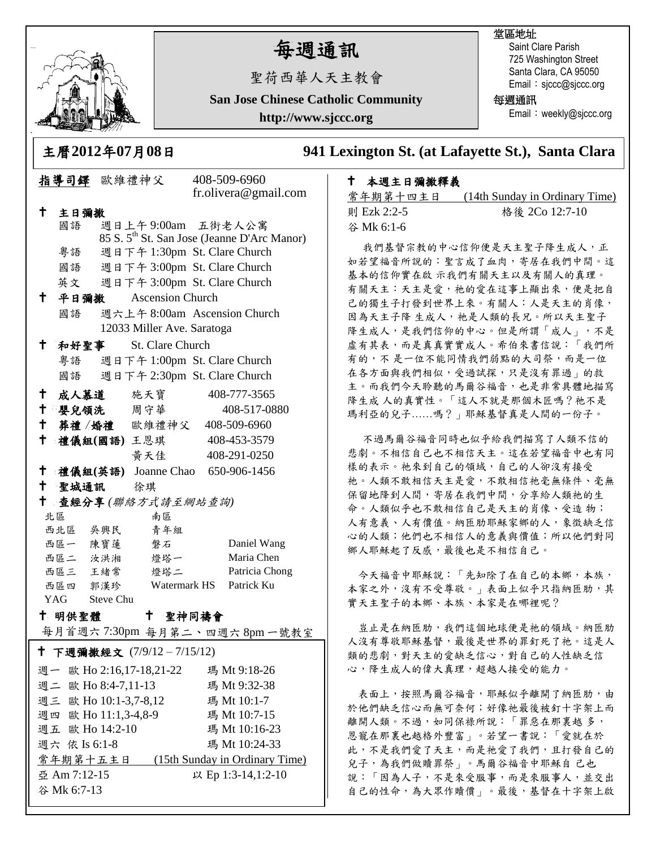

谷 Mk 6:7-13

# 每週通訊

聖荷西華人天主教會

**San Jose Chinese Catholic Community**

**http://www.sjccc.org**

## 堂區地址

Saint Clare Parish 725 Washington Street Santa Clara, CA 95050 Email: sjccc@sjccc.org

每週通訊

Email: weekly@sjccc.org

主曆**2012**年**07**月**08**日 **941 Lexington St. (at Lafayette St.), Santa Clara** 

## 本週主日彌撒釋義

常年期第十四主日 (14th Sunday in Ordinary Time) 則 Ezk 2:2-5 格後 2Co 12:7-10 谷 Mk 6:1-6

我們基督宗教的中心信仰便是天主聖子降生成人,正 如若望福音所說的:聖言成了血肉,寄居在我們中間。這 基本的信仰實在啟 示我們有關天主以及有關人的真理。 有關天主:天主是愛,祂的愛在這事上顯出來,便是把自 己的獨生子打發到世界上來。有關人:人是天主的肖像, 因為天主子降 生成人, 祂是人類的長兄。所以天主聖子 降生成人,是我們信仰的中心。但是所謂「成人」,不是 虛有其表,而是真真實實成人。希伯來書信說:「我們所 有的,不是一位不能同情我們弱點的大司祭,而是一位 在各方面與我們相似,受過試探,只是沒有罪過」的救 主。而我們今天聆聽的馬爾谷福音,也是非常具體地描寫 降生成 人的真實性。「這人不就是那個木匠嗎?祂不是 瑪利亞的兒子……嗎?」耶穌基督真是人間的一份子。

不過馬爾谷福音同時也似乎給我們描寫了人類不信的 悲劇。不相信自己也不相信天主。這在若望福音中也有同 樣的表示。祂來到自己的領域,自己的人卻沒有接受 祂。人類不敢相信天主是愛,不敢相信祂毫無條件、毫無 保留地降到人間,寄居在我們中間,分享給人類祂的生 命。人類似乎也不敢相信自己是天主的肖像、受造 物; 人有意義、人有價值。納匝肋耶穌家鄉的人,象徵缺乏信 心的人類;他們也不相信人的意義與價值;所以他們對同 鄉人耶穌起了反感,最後也是不相信自己。

今天福音中耶穌說:「先知除了在自己的本鄉,本族, 本家之外,沒有不受尊敬。」表面上似乎只指納匝肋,其 實天主聖子的本鄉、本族、本家是在哪裡呢?

豈止是在納匝肋,我們這個地球便是祂的領域。納匝肋 人沒有尊敬耶穌基督,最後是世界的罪釘死了祂。這是人 類的悲劇,對天主的愛缺乏信心,對自己的人性缺乏信 心,降生成人的偉大真理,超越人接受的能力。

表面上,按照馬爾谷福音,耶穌似乎離開了納匝肋,由 於他們缺乏信心而無可奈何;好像祂最後被釘十字架上而 離開人類。不過,如同保祿所說:「罪惡在那裏越 多, 恩寵在那裏也越格外豐富」。若望一書說:「愛就在於 此,不是我們愛了天主,而是祂愛了我們,且打發自己的 兒子,為我們做贖罪祭」。馬爾谷福音中耶穌自 己也 說:「因為人子,不是來受服事,而是來服事人,並交出 自己的性命,為大眾作贖價」。最後,基督在十字架上啟

|                                            |                                    | 指導司鐸 歐維禮神父                         |              | 408-509-6960<br>fr.olivera@gmail.com                    |  |
|--------------------------------------------|------------------------------------|------------------------------------|--------------|---------------------------------------------------------|--|
| t                                          | 主日彌撒                               |                                    |              |                                                         |  |
|                                            | 國語                                 | 週日上午9:00am 五街老人公寓                  |              |                                                         |  |
|                                            |                                    |                                    |              | 85 S. 5 <sup>th</sup> St. San Jose (Jeanne D'Arc Manor) |  |
|                                            | 粤語                                 | 週日下午 1:30pm St. Clare Church       |              |                                                         |  |
|                                            | 國語                                 | 週日下午 3:00pm St. Clare Church       |              |                                                         |  |
|                                            |                                    | 週日下午 3:00pm St. Clare Church<br>英文 |              |                                                         |  |
| ↑                                          | 平日彌撒<br>Ascension Church           |                                    |              |                                                         |  |
|                                            | 國語                                 | 週六上午 8:00am Ascension Church       |              |                                                         |  |
|                                            | 12033 Miller Ave. Saratoga         |                                    |              |                                                         |  |
| ↑.<br>和好聖事<br><b>St. Clare Church</b>      |                                    |                                    |              |                                                         |  |
|                                            | 粤語 週日下午 1:00pm St. Clare Church    |                                    |              |                                                         |  |
|                                            | 週日下午 2:30pm St. Clare Church<br>國語 |                                    |              |                                                         |  |
|                                            |                                    |                                    |              |                                                         |  |
| $^{\dagger}$                               |                                    | 成人慕道 施天寶                           |              | 408-777-3565                                            |  |
| ↑.                                         |                                    | 婴兒領洗 周守華                           |              | 408-517-0880                                            |  |
|                                            |                                    | 十 葬禮/婚禮 歐維禮神父                      |              | 408-509-6960                                            |  |
| $^\dagger$                                 |                                    | 禮儀組(國語) 王恩琪 408-453-3579           |              |                                                         |  |
|                                            |                                    | 黄天佳                                |              | 408-291-0250                                            |  |
| $^{\dagger}$                               |                                    | 禮儀組(英語) Joanne Chao 650-906-1456   |              |                                                         |  |
| $^+$                                       |                                    | 聖城通訊 徐琪                            |              |                                                         |  |
| t<br>查經分享(聯絡方式請至網站查詢)                      |                                    |                                    |              |                                                         |  |
| 南區<br>北區                                   |                                    |                                    |              |                                                         |  |
|                                            | 西北區 吳興民                            | 青年組                                |              |                                                         |  |
|                                            | 西區一 陳寶蓮                            | 磐石                                 |              | Daniel Wang                                             |  |
|                                            | 西區二 汝洪湘                            | 燈塔一                                |              | Maria Chen                                              |  |
|                                            | 西區三 王緒常                            | 燈塔二                                |              | Patricia Chong                                          |  |
|                                            | 西區四 郭漢珍                            |                                    | Watermark HS | Patrick Ku                                              |  |
| YAG Steve Chu                              |                                    |                                    |              |                                                         |  |
| 十 明供聖體<br>$^+$<br>聖神同禱會                    |                                    |                                    |              |                                                         |  |
|                                            |                                    |                                    |              | 每月首週六7:30pm 每月第二、四週六8pm一號教室                             |  |
| † 下週彌撒經文 (7/9/12-7/15/12)                  |                                    |                                    |              |                                                         |  |
|                                            |                                    | 週一 歐 Ho 2:16,17-18,21-22           |              | 瑪 Mt 9:18-26                                            |  |
| 週二 歐 Ho 8:4-7,11-13                        |                                    |                                    |              | 瑪 Mt 9:32-38                                            |  |
| 週三 歐 Ho 10:1-3,7-8,12<br>瑪 Mt 10:1-7       |                                    |                                    |              |                                                         |  |
| 週四 歐 Ho 11:1,3-4,8-9<br>瑪 Mt 10:7-15       |                                    |                                    |              |                                                         |  |
| 週五 歐 Ho 14:2-10                            |                                    |                                    |              | 瑪 Mt 10:16-23                                           |  |
| 週六 依 Is 6:1-8                              |                                    |                                    |              | 瑪 Mt 10:24-33                                           |  |
| 常年期第十五主日<br>(15th Sunday in Ordinary Time) |                                    |                                    |              |                                                         |  |
| 亞 Am 7:12-15<br>以 Ep 1:3-14,1:2-10         |                                    |                                    |              |                                                         |  |